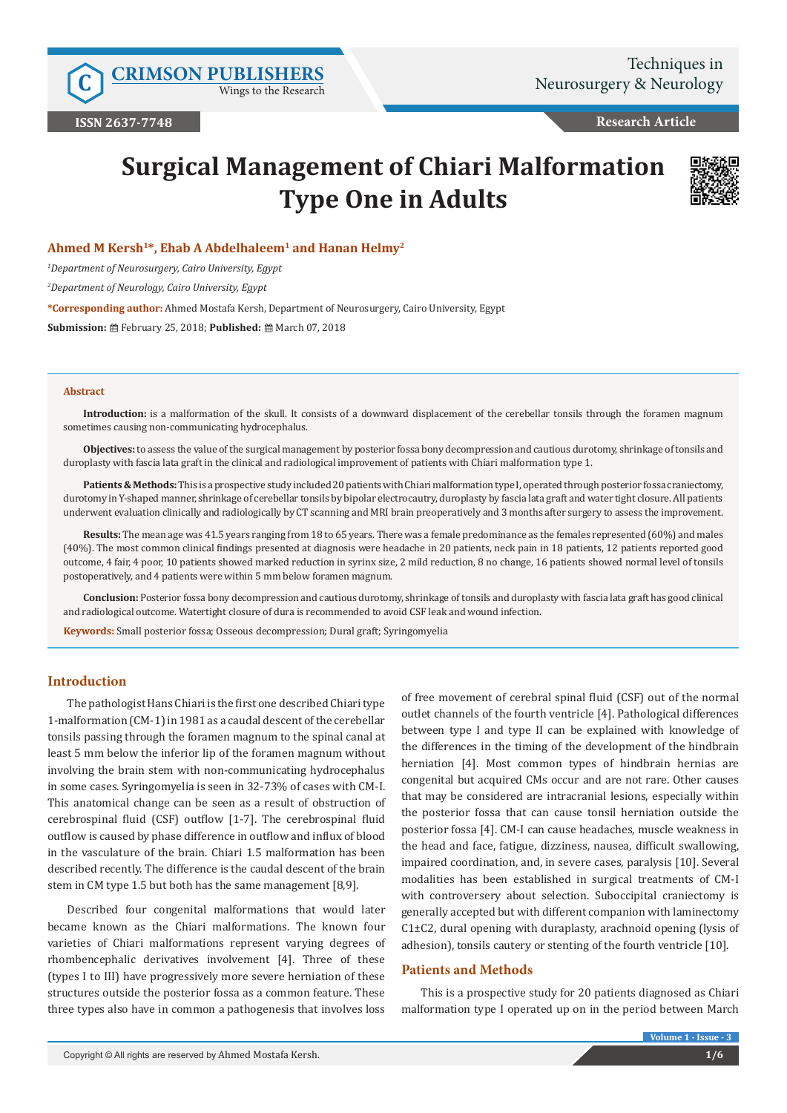Wings to the Research

**Research Article**

# **Surgical Management of Chiari Malformation Type One in Adults**



## **Ahmed M Kersh1\*, Ehab A Abdelhaleem1 and Hanan Helmy2**

*1 Department of Neurosurgery, Cairo University, Egypt*

*2 Department of Neurology, Cairo University, Egypt*

**\*Corresponding author:** Ahmed Mostafa Kersh, Department of Neurosurgery, Cairo University, Egypt

**Submission:** ■ February 25, 2018; Published: ■ March 07, 2018

#### **Abstract**

**Introduction:** is a malformation of the skull. It consists of a downward displacement of the cerebellar tonsils through the foramen magnum sometimes causing non-communicating hydrocephalus.

**Objectives:** to assess the value of the surgical management by posterior fossa bony decompression and cautious durotomy, shrinkage of tonsils and duroplasty with fascia lata graft in the clinical and radiological improvement of patients with Chiari malformation type 1.

**Patients & Methods:** This is a prospective study included 20 patients with Chiari malformation type I, operated through posterior fossa craniectomy, durotomy in Y-shaped manner, shrinkage of cerebellar tonsils by bipolar electrocautry, duroplasty by fascia lata graft and water tight closure. All patients underwent evaluation clinically and radiologically by CT scanning and MRI brain preoperatively and 3 months after surgery to assess the improvement.

**Results:** The mean age was 41.5 years ranging from 18 to 65 years. There was a female predominance as the females represented (60%) and males (40%). The most common clinical findings presented at diagnosis were headache in 20 patients, neck pain in 18 patients, 12 patients reported good outcome, 4 fair, 4 poor, 10 patients showed marked reduction in syrinx size, 2 mild reduction, 8 no change, 16 patients showed normal level of tonsils postoperatively, and 4 patients were within 5 mm below foramen magnum.

**Conclusion:** Posterior fossa bony decompression and cautious durotomy, shrinkage of tonsils and duroplasty with fascia lata graft has good clinical and radiological outcome. Watertight closure of dura is recommended to avoid CSF leak and wound infection.

**Keywords:** Small posterior fossa; Osseous decompression; Dural graft; Syringomyelia

## **Introduction**

The pathologist Hans Chiari is the first one described Chiari type 1-malformation (CM-1) in 1981 as a caudal descent of the cerebellar tonsils passing through the foramen magnum to the spinal canal at least 5 mm below the inferior lip of the foramen magnum without involving the brain stem with non-communicating hydrocephalus in some cases. Syringomyelia is seen in 32-73% of cases with CM-I. This anatomical change can be seen as a result of obstruction of cerebrospinal fluid (CSF) outflow [1-7]. The cerebrospinal fluid outflow is caused by phase difference in outflow and influx of blood in the vasculature of the brain. Chiari 1.5 malformation has been described recently. The difference is the caudal descent of the brain stem in CM type 1.5 but both has the same management [8,9].

Described four congenital malformations that would later became known as the Chiari malformations. The known four varieties of Chiari malformations represent varying degrees of rhombencephalic derivatives involvement [4]. Three of these (types I to III) have progressively more severe herniation of these structures outside the posterior fossa as a common feature. These three types also have in common a pathogenesis that involves loss

of free movement of cerebral spinal fluid (CSF) out of the normal outlet channels of the fourth ventricle [4]. Pathological differences between type I and type II can be explained with knowledge of the differences in the timing of the development of the hindbrain herniation [4]. Most common types of hindbrain hernias are congenital but acquired CMs occur and are not rare. Other causes that may be considered are intracranial lesions, especially within the posterior fossa that can cause tonsil herniation outside the posterior fossa [4]. CM-I can cause headaches, muscle weakness in the head and face, fatigue, dizziness, nausea, difficult swallowing, impaired coordination, and, in severe cases, paralysis [10]. Several modalities has been established in surgical treatments of CM-I with controversery about selection. Suboccipital craniectomy is generally accepted but with different companion with laminectomy  $C1\pm C2$ , dural opening with duraplasty, arachnoid opening (lysis of adhesion), tonsils cautery or stenting of the fourth ventricle [10].

## **Patients and Methods**

This is a prospective study for 20 patients diagnosed as Chiari malformation type I operated up on in the period between March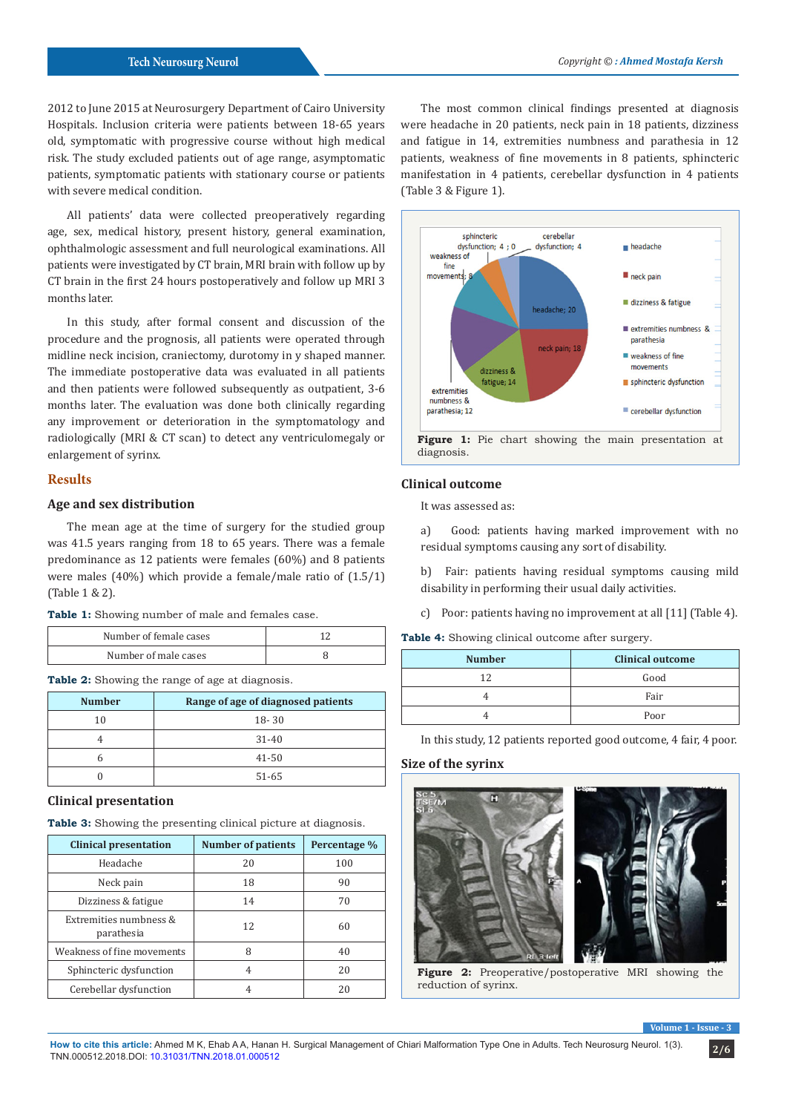2012 to June 2015 at Neurosurgery Department of Cairo University Hospitals. Inclusion criteria were patients between 18-65 years old, symptomatic with progressive course without high medical risk. The study excluded patients out of age range, asymptomatic patients, symptomatic patients with stationary course or patients with severe medical condition.

All patients' data were collected preoperatively regarding age, sex, medical history, present history, general examination, ophthalmologic assessment and full neurological examinations. All patients were investigated by CT brain, MRI brain with follow up by CT brain in the first 24 hours postoperatively and follow up MRI 3 months later.

In this study, after formal consent and discussion of the procedure and the prognosis, all patients were operated through midline neck incision, craniectomy, durotomy in y shaped manner. The immediate postoperative data was evaluated in all patients and then patients were followed subsequently as outpatient, 3-6 months later. The evaluation was done both clinically regarding any improvement or deterioration in the symptomatology and radiologically (MRI & CT scan) to detect any ventriculomegaly or enlargement of syrinx.

### **Results**

#### **Age and sex distribution**

The mean age at the time of surgery for the studied group was 41.5 years ranging from 18 to 65 years. There was a female predominance as 12 patients were females (60%) and 8 patients were males (40%) which provide a female/male ratio of (1.5/1) (Table 1 & 2).

**Table 1:** Showing number of male and females case.

| Number of female cases |  |
|------------------------|--|
| Number of male cases   |  |

**Table 2:** Showing the range of age at diagnosis.

| <b>Number</b> | Range of age of diagnosed patients |
|---------------|------------------------------------|
| 10            | $18 - 30$                          |
|               | $31 - 40$                          |
| n             | $41 - 50$                          |
|               | 51-65                              |

#### **Clinical presentation**

**Table 3:** Showing the presenting clinical picture at diagnosis.

| <b>Clinical presentation</b>         | <b>Number of patients</b> | Percentage % |
|--------------------------------------|---------------------------|--------------|
| Headache                             | 20                        | 100          |
| Neck pain                            | 18                        | 90           |
| Dizziness & fatigue                  | 14                        | 70           |
| Extremities numbness &<br>parathesia | 12                        | 60           |
| Weakness of fine movements           | 8                         | 40           |
| Sphincteric dysfunction              | 4                         | 20           |
| Cerebellar dysfunction               | 4                         | 20           |

The most common clinical findings presented at diagnosis were headache in 20 patients, neck pain in 18 patients, dizziness and fatigue in 14, extremities numbness and parathesia in 12 patients, weakness of fine movements in 8 patients, sphincteric manifestation in 4 patients, cerebellar dysfunction in 4 patients (Table 3 & Figure 1).



## **Clinical outcome**

It was assessed as:

a) Good: patients having marked improvement with no residual symptoms causing any sort of disability.

b) Fair: patients having residual symptoms causing mild disability in performing their usual daily activities.

c) Poor: patients having no improvement at all [11] (Table 4).

Table 4: Showing clinical outcome after surgery.

| <b>Number</b> | <b>Clinical outcome</b> |
|---------------|-------------------------|
| 12            | Good                    |
|               | Fair                    |
|               | Poor                    |

In this study, 12 patients reported good outcome, 4 fair, 4 poor.

## **Size of the syrinx**



**Figure 2:** Preoperative/postoperative MRI showing the reduction of syrinx.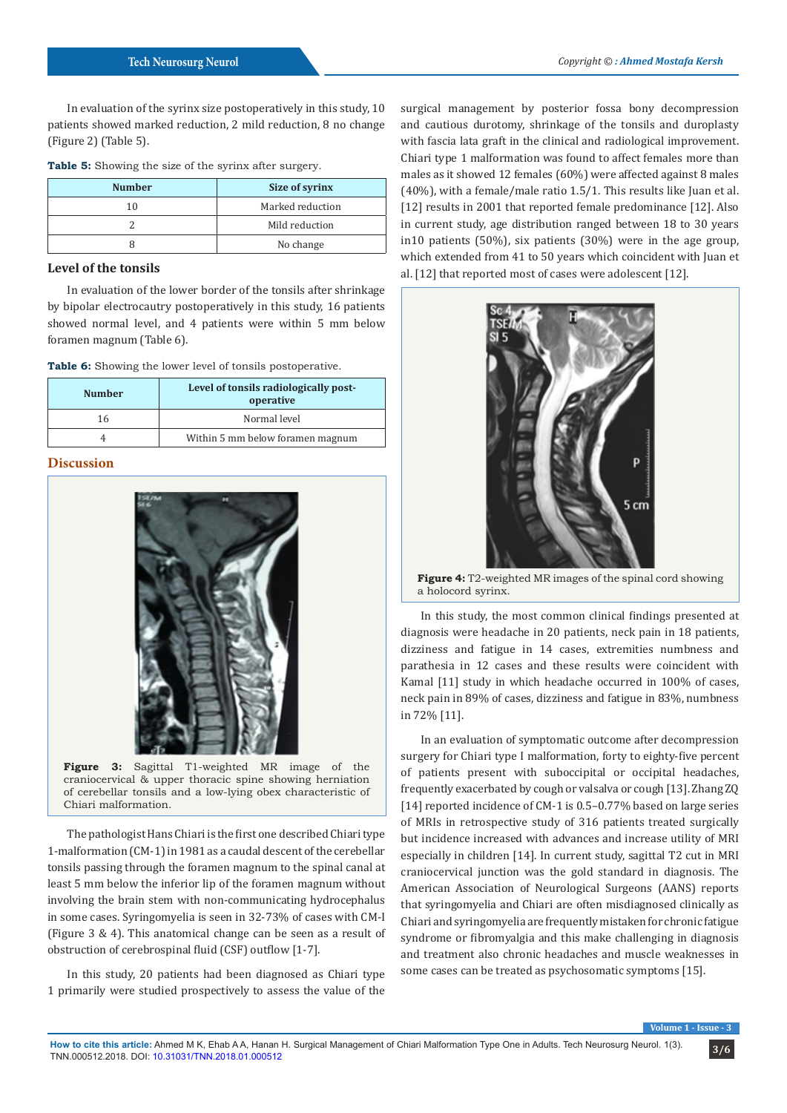In evaluation of the syrinx size postoperatively in this study, 10 patients showed marked reduction, 2 mild reduction, 8 no change (Figure 2) (Table 5).

**Table 5:** Showing the size of the syrinx after surgery.

| <b>Number</b> | Size of syrinx   |
|---------------|------------------|
| 10            | Marked reduction |
|               | Mild reduction   |
|               | No change        |

# **Level of the tonsils**

In evaluation of the lower border of the tonsils after shrinkage by bipolar electrocautry postoperatively in this study, 16 patients showed normal level, and 4 patients were within 5 mm below foramen magnum (Table 6).

**Table 6:** Showing the lower level of tonsils postoperative.

| <b>Number</b> | Level of tonsils radiologically post-<br>operative |
|---------------|----------------------------------------------------|
| 16            | Normal level                                       |
|               | Within 5 mm below foramen magnum                   |

# **Discussion**



**Figure 3:** Sagittal T1-weighted MR image of the craniocervical & upper thoracic spine showing herniation of cerebellar tonsils and a low-lying obex characteristic of Chiari malformation.

The pathologist Hans Chiari is the first one described Chiari type 1-malformation (CM-1) in 1981 as a caudal descent of the cerebellar tonsils passing through the foramen magnum to the spinal canal at least 5 mm below the inferior lip of the foramen magnum without involving the brain stem with non-communicating hydrocephalus in some cases. Syringomyelia is seen in 32-73% of cases with CM-I (Figure 3 & 4). This anatomical change can be seen as a result of obstruction of cerebrospinal fluid (CSF) outflow [1-7].

In this study, 20 patients had been diagnosed as Chiari type 1 primarily were studied prospectively to assess the value of the

surgical management by posterior fossa bony decompression and cautious durotomy, shrinkage of the tonsils and duroplasty with fascia lata graft in the clinical and radiological improvement. Chiari type 1 malformation was found to affect females more than males as it showed 12 females (60%) were affected against 8 males (40%), with a female/male ratio 1.5/1. This results like Juan et al. [12] results in 2001 that reported female predominance [12]. Also in current study, age distribution ranged between 18 to 30 years in10 patients (50%), six patients (30%) were in the age group, which extended from 41 to 50 years which coincident with Juan et al. [12] that reported most of cases were adolescent [12].



**Figure 4:** T2-weighted MR images of the spinal cord showing a holocord syrinx.

In this study, the most common clinical findings presented at diagnosis were headache in 20 patients, neck pain in 18 patients, dizziness and fatigue in 14 cases, extremities numbness and parathesia in 12 cases and these results were coincident with Kamal [11] study in which headache occurred in 100% of cases, neck pain in 89% of cases, dizziness and fatigue in 83%, numbness in 72% [11].

In an evaluation of symptomatic outcome after decompression surgery for Chiari type I malformation, forty to eighty-five percent of patients present with suboccipital or occipital headaches, frequently exacerbated by cough or valsalva or cough [13]. Zhang ZQ [14] reported incidence of CM-1 is 0.5-0.77% based on large series of MRIs in retrospective study of 316 patients treated surgically but incidence increased with advances and increase utility of MRI especially in children [14]. In current study, sagittal T2 cut in MRI craniocervical junction was the gold standard in diagnosis. The American Association of Neurological Surgeons (AANS) reports that syringomyelia and Chiari are often misdiagnosed clinically as Chiari and syringomyelia are frequently mistaken for chronic fatigue syndrome or fibromyalgia and this make challenging in diagnosis and treatment also chronic headaches and muscle weaknesses in some cases can be treated as psychosomatic symptoms [15].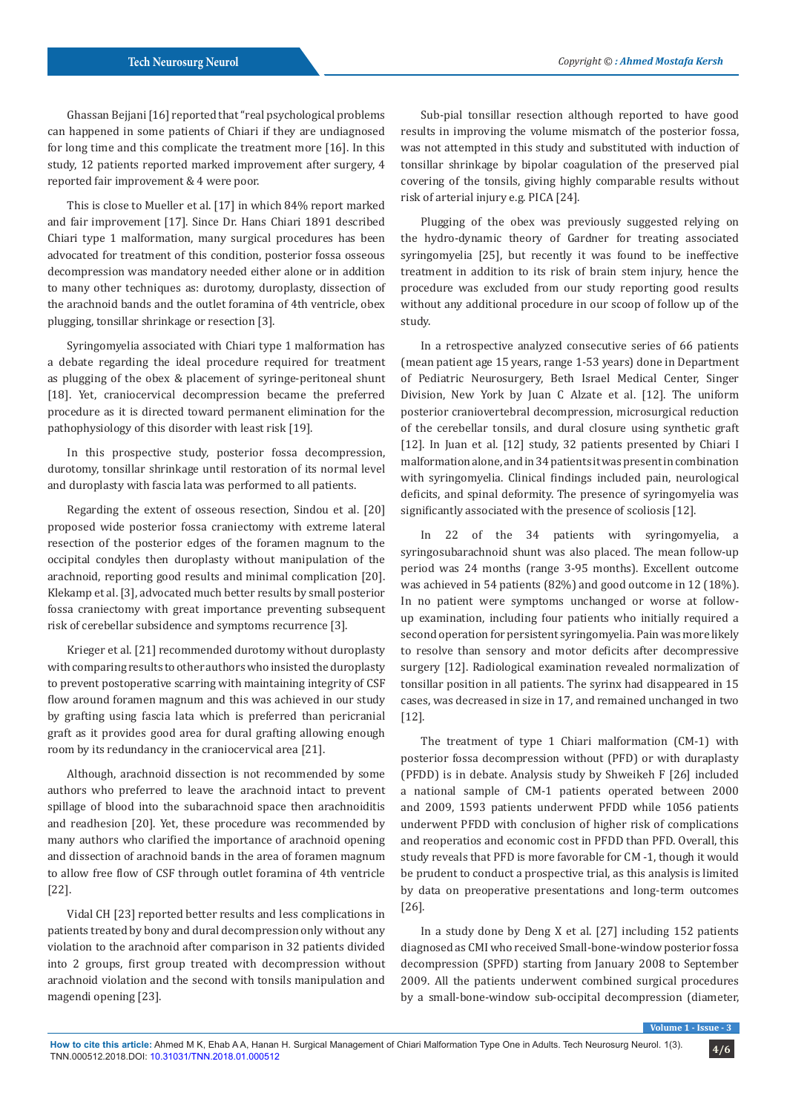Ghassan Bejjani [16] reported that "real psychological problems can happened in some patients of Chiari if they are undiagnosed for long time and this complicate the treatment more [16]. In this study, 12 patients reported marked improvement after surgery, 4 reported fair improvement & 4 were poor.

This is close to Mueller et al. [17] in which 84% report marked and fair improvement [17]. Since Dr. Hans Chiari 1891 described Chiari type 1 malformation, many surgical procedures has been advocated for treatment of this condition, posterior fossa osseous decompression was mandatory needed either alone or in addition to many other techniques as: durotomy, duroplasty, dissection of the arachnoid bands and the outlet foramina of 4th ventricle, obex plugging, tonsillar shrinkage or resection [3].

Syringomyelia associated with Chiari type 1 malformation has a debate regarding the ideal procedure required for treatment as plugging of the obex & placement of syringe-peritoneal shunt [18]. Yet, craniocervical decompression became the preferred procedure as it is directed toward permanent elimination for the pathophysiology of this disorder with least risk [19].

In this prospective study, posterior fossa decompression, durotomy, tonsillar shrinkage until restoration of its normal level and duroplasty with fascia lata was performed to all patients.

Regarding the extent of osseous resection, Sindou et al. [20] proposed wide posterior fossa craniectomy with extreme lateral resection of the posterior edges of the foramen magnum to the occipital condyles then duroplasty without manipulation of the arachnoid, reporting good results and minimal complication [20]. Klekamp et al. [3], advocated much better results by small posterior fossa craniectomy with great importance preventing subsequent risk of cerebellar subsidence and symptoms recurrence [3].

Krieger et al. [21] recommended durotomy without duroplasty with comparing results to other authors who insisted the duroplasty to prevent postoperative scarring with maintaining integrity of CSF flow around foramen magnum and this was achieved in our study by grafting using fascia lata which is preferred than pericranial graft as it provides good area for dural grafting allowing enough room by its redundancy in the craniocervical area [21].

Although, arachnoid dissection is not recommended by some authors who preferred to leave the arachnoid intact to prevent spillage of blood into the subarachnoid space then arachnoiditis and readhesion [20]. Yet, these procedure was recommended by many authors who clarified the importance of arachnoid opening and dissection of arachnoid bands in the area of foramen magnum to allow free flow of CSF through outlet foramina of 4th ventricle [22].

Vidal CH [23] reported better results and less complications in patients treated by bony and dural decompression only without any violation to the arachnoid after comparison in 32 patients divided into 2 groups, first group treated with decompression without arachnoid violation and the second with tonsils manipulation and magendi opening [23].

Sub-pial tonsillar resection although reported to have good results in improving the volume mismatch of the posterior fossa, was not attempted in this study and substituted with induction of tonsillar shrinkage by bipolar coagulation of the preserved pial covering of the tonsils, giving highly comparable results without risk of arterial injury e.g. PICA [24].

Plugging of the obex was previously suggested relying on the hydro-dynamic theory of Gardner for treating associated syringomyelia [25], but recently it was found to be ineffective treatment in addition to its risk of brain stem injury, hence the procedure was excluded from our study reporting good results without any additional procedure in our scoop of follow up of the study.

In a retrospective analyzed consecutive series of 66 patients (mean patient age 15 years, range 1-53 years) done in Department of Pediatric Neurosurgery, Beth Israel Medical Center, Singer Division, New York by Juan C Alzate et al. [12]. The uniform posterior craniovertebral decompression, microsurgical reduction of the cerebellar tonsils, and dural closure using synthetic graft [12]. In Juan et al. [12] study, 32 patients presented by Chiari I malformation alone, and in 34 patients it was present in combination with syringomyelia. Clinical findings included pain, neurological deficits, and spinal deformity. The presence of syringomyelia was significantly associated with the presence of scoliosis [12].

In 22 of the 34 patients with syringomyelia, a syringosubarachnoid shunt was also placed. The mean follow-up period was 24 months (range 3-95 months). Excellent outcome was achieved in 54 patients (82%) and good outcome in 12 (18%). In no patient were symptoms unchanged or worse at followup examination, including four patients who initially required a second operation for persistent syringomyelia. Pain was more likely to resolve than sensory and motor deficits after decompressive surgery [12]. Radiological examination revealed normalization of tonsillar position in all patients. The syrinx had disappeared in 15 cases, was decreased in size in 17, and remained unchanged in two [12].

The treatment of type 1 Chiari malformation (CM-1) with posterior fossa decompression without (PFD) or with duraplasty (PFDD) is in debate. Analysis study by Shweikeh F [26] included a national sample of CM-1 patients operated between 2000 and 2009, 1593 patients underwent PFDD while 1056 patients underwent PFDD with conclusion of higher risk of complications and reoperatios and economic cost in PFDD than PFD. Overall, this study reveals that PFD is more favorable for CM -1, though it would be prudent to conduct a prospective trial, as this analysis is limited by data on preoperative presentations and long-term outcomes [26].

In a study done by Deng X et al. [27] including 152 patients diagnosed as CMI who received Small-bone-window posterior fossa decompression (SPFD) starting from January 2008 to September 2009. All the patients underwent combined surgical procedures by a small-bone-window sub-occipital decompression (diameter,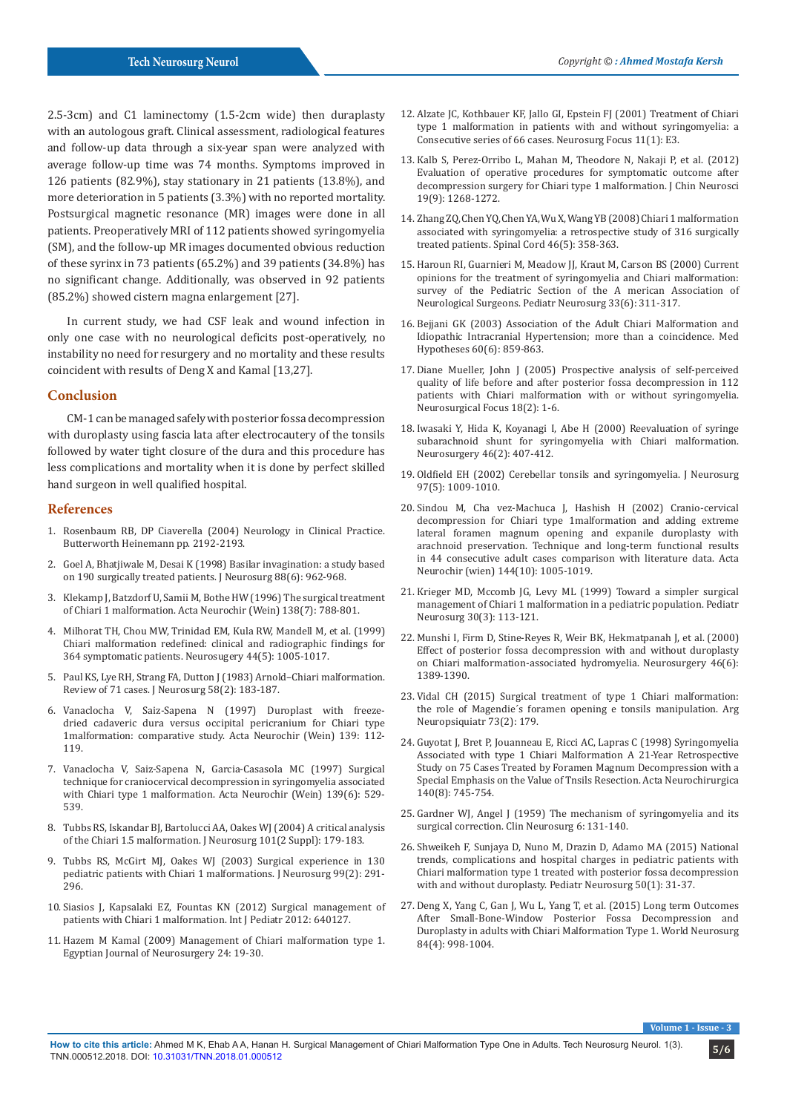2.5-3cm) and C1 laminectomy (1.5-2cm wide) then duraplasty with an autologous graft. Clinical assessment, radiological features and follow-up data through a six-year span were analyzed with average follow-up time was 74 months. Symptoms improved in 126 patients (82.9%), stay stationary in 21 patients (13.8%), and more deterioration in 5 patients (3.3%) with no reported mortality. Postsurgical magnetic resonance (MR) images were done in all patients. Preoperatively MRI of 112 patients showed syringomyelia (SM), and the follow-up MR images documented obvious reduction of these syrinx in 73 patients (65.2%) and 39 patients (34.8%) has no significant change. Additionally, was observed in 92 patients (85.2%) showed cistern magna enlargement [27].

In current study, we had CSF leak and wound infection in only one case with no neurological deficits post-operatively, no instability no need for resurgery and no mortality and these results coincident with results of Deng X and Kamal [13,27].

### **Conclusion**

CM-1 can be managed safely with posterior fossa decompression with duroplasty using fascia lata after electrocautery of the tonsils followed by water tight closure of the dura and this procedure has less complications and mortality when it is done by perfect skilled hand surgeon in well qualified hospital.

#### **References**

- 1. Rosenbaum RB, DP Ciaverella (2004) Neurology in Clinical Practice. Butterworth Heinemann pp. 2192-2193.
- 2. [Goel A, Bhatjiwale M, Desai K \(1998\) Basilar invagination: a study based](https://www.ncbi.nlm.nih.gov/pubmed/9609289)  [on 190 surgically treated patients. J Neurosurg 88\(6\): 962-968.](https://www.ncbi.nlm.nih.gov/pubmed/9609289)
- 3. [Klekamp J, Batzdorf U, Samii M, Bothe HW \(1996\) The surgical treatment](https://www.ncbi.nlm.nih.gov/pubmed/8869706)  [of Chiari 1 malformation. Acta Neurochir \(Wein\) 138\(7\): 788-801.](https://www.ncbi.nlm.nih.gov/pubmed/8869706)
- 4. [Milhorat TH, Chou MW, Trinidad EM, Kula RW, Mandell M, et al. \(1999\)](https://www.ncbi.nlm.nih.gov/pubmed/10232534)  [Chiari malformation redefined: clinical and radiographic findings for](https://www.ncbi.nlm.nih.gov/pubmed/10232534)  [364 symptomatic patients. Neurosugery 44\(5\): 1005-1017.](https://www.ncbi.nlm.nih.gov/pubmed/10232534)
- 5. [Paul KS, Lye RH, Strang FA, Dutton J \(1983\) Arnold–Chiari malformation.](https://www.ncbi.nlm.nih.gov/pubmed/6848674)  [Review of 71 cases. J Neurosurg 58\(2\): 183-187.](https://www.ncbi.nlm.nih.gov/pubmed/6848674)
- 6. Vanaclocha V, Saiz-Sapena N (1997) Duroplast with freezedried cadaveric dura versus occipital pericranium for Chiari type 1malformation: comparative study. Acta Neurochir (Wein) 139: 112- 119.
- 7. [Vanaclocha V, Saiz-Sapena N, Garcia-Casasola MC \(1997\) Surgical](https://www.ncbi.nlm.nih.gov/pubmed/9248587)  [technique for craniocervical decompression in syringomyelia associated](https://www.ncbi.nlm.nih.gov/pubmed/9248587)  [with Chiari type 1 malformation. Acta Neurochir \(Wein\) 139\(6\): 529-](https://www.ncbi.nlm.nih.gov/pubmed/9248587) [539.](https://www.ncbi.nlm.nih.gov/pubmed/9248587)
- 8. [Tubbs RS, Iskandar BJ, Bartolucci AA, Oakes WJ \(2004\) A critical analysis](https://www.ncbi.nlm.nih.gov/pubmed/15835105)  [of the Chiari 1.5 malformation. J Neurosurg 101\(2 Suppl\): 179-183.](https://www.ncbi.nlm.nih.gov/pubmed/15835105)
- 9. [Tubbs RS, McGirt MJ, Oakes WJ \(2003\) Surgical experience in 130](https://www.ncbi.nlm.nih.gov/pubmed/12924703)  [pediatric patients with Chiari 1 malformations. J Neurosurg 99\(2\): 291-](https://www.ncbi.nlm.nih.gov/pubmed/12924703) [296.](https://www.ncbi.nlm.nih.gov/pubmed/12924703)
- 10. [Siasios J, Kapsalaki EZ, Fountas KN \(2012\) Surgical management of](https://www.ncbi.nlm.nih.gov/pubmed/22811732/)  [patients with Chiari 1 malformation. Int J Pediatr 2012: 640127.](https://www.ncbi.nlm.nih.gov/pubmed/22811732/)
- 11. Hazem M Kamal (2009) Management of Chiari malformation type 1. Egyptian Journal of Neurosurgery 24: 19-30.
- 12. [Alzate JC, Kothbauer KF, Jallo GI, Epstein FJ \(2001\) Treatment of Chiari](https://www.ncbi.nlm.nih.gov/pubmed/16724813) [type 1 malformation in patients with and without syringomyelia: a](https://www.ncbi.nlm.nih.gov/pubmed/16724813) [Consecutive series of 66 cases. Neurosurg Focus 11\(1\): E3.](https://www.ncbi.nlm.nih.gov/pubmed/16724813)
- 13. [Kalb S, Perez-Orribo L, Mahan M, Theodore N, Nakaji P, et al. \(2012\)](https://www.ncbi.nlm.nih.gov/pubmed/22771142) [Evaluation of operative procedures for symptomatic outcome after](https://www.ncbi.nlm.nih.gov/pubmed/22771142) [decompression surgery for Chiari type 1 malformation. J Chin Neurosci](https://www.ncbi.nlm.nih.gov/pubmed/22771142) [19\(9\): 1268-1272.](https://www.ncbi.nlm.nih.gov/pubmed/22771142)
- 14. [Zhang ZQ, Chen YQ, Chen YA, Wu X, Wang YB \(2008\) Chiari 1 malformation](https://www.ncbi.nlm.nih.gov/pubmed/18026173) [associated with syringomyelia: a retrospective study of 316 surgically](https://www.ncbi.nlm.nih.gov/pubmed/18026173) [treated patients. Spinal Cord 46\(5\): 358-363.](https://www.ncbi.nlm.nih.gov/pubmed/18026173)
- 15. [Haroun RI, Guarnieri M, Meadow JJ, Kraut M, Carson BS \(2000\) Current](https://www.ncbi.nlm.nih.gov/pubmed/11182642) [opinions for the treatment of syringomyelia and Chiari malformation:](https://www.ncbi.nlm.nih.gov/pubmed/11182642) [survey of the Pediatric Section of the A merican Association of](https://www.ncbi.nlm.nih.gov/pubmed/11182642) [Neurological Surgeons. Pediatr Neurosurg 33\(6\): 311-317.](https://www.ncbi.nlm.nih.gov/pubmed/11182642)
- 16. [Bejjani GK \(2003\) Association of the Adult Chiari Malformation and](https://www.ncbi.nlm.nih.gov/pubmed/12699714) [Idiopathic Intracranial Hypertension; more than a coincidence. Med](https://www.ncbi.nlm.nih.gov/pubmed/12699714) [Hypotheses 60\(6\): 859-863.](https://www.ncbi.nlm.nih.gov/pubmed/12699714)
- 17. [Diane Mueller, John J \(2005\) Prospective analysis of self-perceived](https://www.ncbi.nlm.nih.gov/pubmed/15715455) [quality of life before and after posterior fossa decompression in 112](https://www.ncbi.nlm.nih.gov/pubmed/15715455) [patients with Chiari malformation with or without syringomyelia.](https://www.ncbi.nlm.nih.gov/pubmed/15715455) [Neurosurgical Focus 18\(2\): 1-6.](https://www.ncbi.nlm.nih.gov/pubmed/15715455)
- 18. [Iwasaki Y, Hida K, Koyanagi I, Abe H \(2000\) Reevaluation of syringe](https://www.ncbi.nlm.nih.gov/pubmed/10690730) [subarachnoid shunt for syringomyelia with Chiari malformation.](https://www.ncbi.nlm.nih.gov/pubmed/10690730) [Neurosurgery 46\(2\): 407-412.](https://www.ncbi.nlm.nih.gov/pubmed/10690730)
- 19. [Oldfield EH \(2002\) Cerebellar tonsils and syringomyelia. J Neurosurg](https://www.ncbi.nlm.nih.gov/pubmed/12450018) [97\(5\): 1009-1010.](https://www.ncbi.nlm.nih.gov/pubmed/12450018)
- 20. [Sindou M, Cha vez-Machuca J, Hashish H \(2002\) Cranio-cervical](https://www.ncbi.nlm.nih.gov/pubmed/12382129) [decompression for Chiari type 1malformation and adding extreme](https://www.ncbi.nlm.nih.gov/pubmed/12382129) [lateral foramen magnum opening and expanile duroplasty with](https://www.ncbi.nlm.nih.gov/pubmed/12382129) [arachnoid preservation. Technique and long-term functional results](https://www.ncbi.nlm.nih.gov/pubmed/12382129) [in 44 consecutive adult cases comparison with literature data. Acta](https://www.ncbi.nlm.nih.gov/pubmed/12382129) [Neurochir \(wien\) 144\(10\): 1005-1019.](https://www.ncbi.nlm.nih.gov/pubmed/12382129)
- 21. [Krieger MD, Mccomb JG, Levy ML \(1999\) Toward a simpler surgical](https://www.ncbi.nlm.nih.gov/pubmed/10352412) [management of Chiari 1 malformation in a pediatric population. Pediatr](https://www.ncbi.nlm.nih.gov/pubmed/10352412) [Neurosurg 30\(3\): 113-121.](https://www.ncbi.nlm.nih.gov/pubmed/10352412)
- 22. [Munshi I, Firm D, Stine-Reyes R, Weir BK, Hekmatpanah J, et al. \(2000\)](https://www.ncbi.nlm.nih.gov/pubmed/10834643) [Effect of posterior fossa decompression with and without duroplasty](https://www.ncbi.nlm.nih.gov/pubmed/10834643) [on Chiari malformation-associated hydromyelia. Neurosurgery 46\(6\):](https://www.ncbi.nlm.nih.gov/pubmed/10834643) [1389-1390.](https://www.ncbi.nlm.nih.gov/pubmed/10834643)
- 23. [Vidal CH \(2015\) Surgical treatment of type 1 Chiari malformation:](http://www.scielo.br/scielo.php?script=sci_arttext&pid=S0004-282X2015000200179) [the role of Magendie´s foramen opening e tonsils manipulation. Arg](http://www.scielo.br/scielo.php?script=sci_arttext&pid=S0004-282X2015000200179) [Neuropsiquiatr 73\(2\): 179.](http://www.scielo.br/scielo.php?script=sci_arttext&pid=S0004-282X2015000200179)
- 24. [Guyotat J, Bret P, Jouanneau E, Ricci AC, Lapras C \(1998\) Syringomyelia](https://www.ncbi.nlm.nih.gov/pubmed/9810440) [Associated with type 1 Chiari Malformation A 21-Year Retrospective](https://www.ncbi.nlm.nih.gov/pubmed/9810440) [Study on 75 Cases Treated by Foramen Magnum Decompression with a](https://www.ncbi.nlm.nih.gov/pubmed/9810440) [Special Emphasis on the Value of Tnsils Resection. Acta Neurochirurgica](https://www.ncbi.nlm.nih.gov/pubmed/9810440) [140\(8\): 745-754.](https://www.ncbi.nlm.nih.gov/pubmed/9810440)
- 25. [Gardner WJ, Angel J \(1959\) The mechanism of syringomyelia and its](https://www.ncbi.nlm.nih.gov/pubmed/13826542) [surgical correction. Clin Neurosurg 6: 131-140.](https://www.ncbi.nlm.nih.gov/pubmed/13826542)
- 26. [Shweikeh F, Sunjaya D, Nuno M, Drazin D, Adamo MA \(2015\) National](https://www.ncbi.nlm.nih.gov/pubmed/25721939) [trends, complications and hospital charges in pediatric patients with](https://www.ncbi.nlm.nih.gov/pubmed/25721939) [Chiari malformation type 1 treated with posterior fossa decompression](https://www.ncbi.nlm.nih.gov/pubmed/25721939) [with and without duroplasty. Pediatr Neurosurg 50\(1\): 31-37.](https://www.ncbi.nlm.nih.gov/pubmed/25721939)
- 27. [Deng X, Yang C, Gan J, Wu L, Yang T, et al. \(2015\) Long term Outcomes](https://www.ncbi.nlm.nih.gov/pubmed/25701768) [After Small-Bone-Window Posterior Fossa Decompression and](https://www.ncbi.nlm.nih.gov/pubmed/25701768) [Duroplasty in adults with Chiari Malformation Type 1. World Neurosurg](https://www.ncbi.nlm.nih.gov/pubmed/25701768) [84\(4\): 998-1004.](https://www.ncbi.nlm.nih.gov/pubmed/25701768)

**Volume 1**